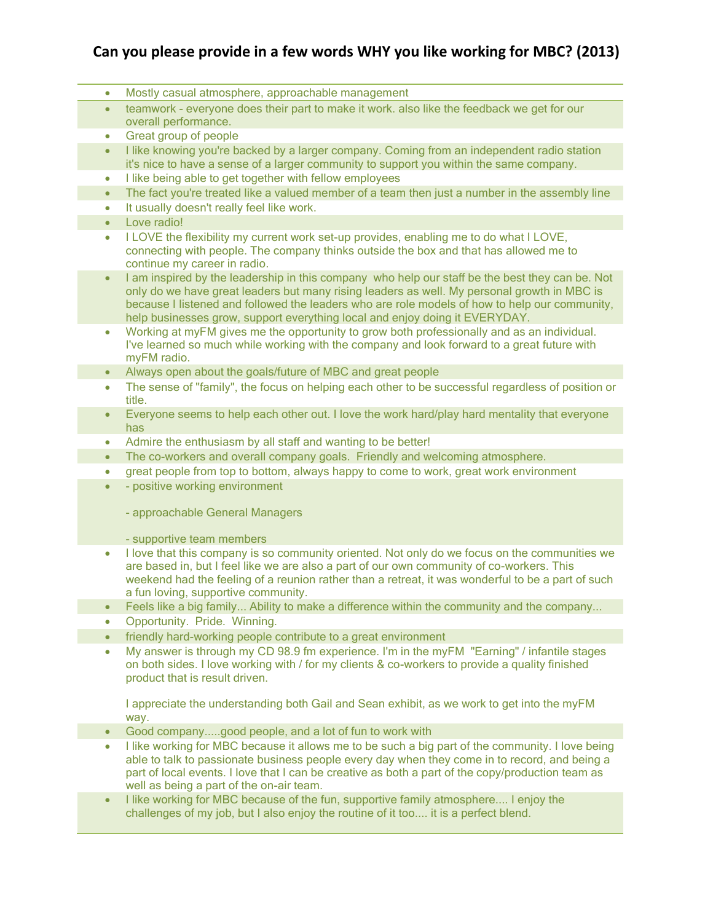## **Can you please provide in a few words WHY you like working for MBC? (2013)**

- Mostly casual atmosphere, approachable management
- teamwork everyone does their part to make it work. also like the feedback we get for our overall performance.
- Great group of people
- I like knowing you're backed by a larger company. Coming from an independent radio station it's nice to have a sense of a larger community to support you within the same company.
- I like being able to get together with fellow employees
- The fact you're treated like a valued member of a team then just a number in the assembly line
- **•** It usually doesn't really feel like work.
- Love radio!
- I LOVE the flexibility my current work set-up provides, enabling me to do what I LOVE, connecting with people. The company thinks outside the box and that has allowed me to continue my career in radio.
- I am inspired by the leadership in this company who help our staff be the best they can be. Not only do we have great leaders but many rising leaders as well. My personal growth in MBC is because I listened and followed the leaders who are role models of how to help our community, help businesses grow, support everything local and enjoy doing it EVERYDAY.
- Working at myFM gives me the opportunity to grow both professionally and as an individual. I've learned so much while working with the company and look forward to a great future with myFM radio.
- Always open about the goals/future of MBC and great people
- The sense of "family", the focus on helping each other to be successful regardless of position or title.
- Everyone seems to help each other out. I love the work hard/play hard mentality that everyone has
- Admire the enthusiasm by all staff and wanting to be better!
- The co-workers and overall company goals. Friendly and welcoming atmosphere.
- great people from top to bottom, always happy to come to work, great work environment
- - positive working environment

- approachable General Managers

- supportive team members

- I love that this company is so community oriented. Not only do we focus on the communities we are based in, but I feel like we are also a part of our own community of co-workers. This weekend had the feeling of a reunion rather than a retreat, it was wonderful to be a part of such a fun loving, supportive community.
- Feels like a big family... Ability to make a difference within the community and the company...
- Opportunity. Pride. Winning.
- friendly hard-working people contribute to a great environment
- My answer is through my CD 98.9 fm experience. I'm in the myFM "Earning" / infantile stages on both sides. I love working with / for my clients & co-workers to provide a quality finished product that is result driven.

I appreciate the understanding both Gail and Sean exhibit, as we work to get into the myFM way.

- Good company.....good people, and a lot of fun to work with
- I like working for MBC because it allows me to be such a big part of the community. I love being able to talk to passionate business people every day when they come in to record, and being a part of local events. I love that I can be creative as both a part of the copy/production team as well as being a part of the on-air team.
- I like working for MBC because of the fun, supportive family atmosphere.... I enjoy the challenges of my job, but I also enjoy the routine of it too.... it is a perfect blend.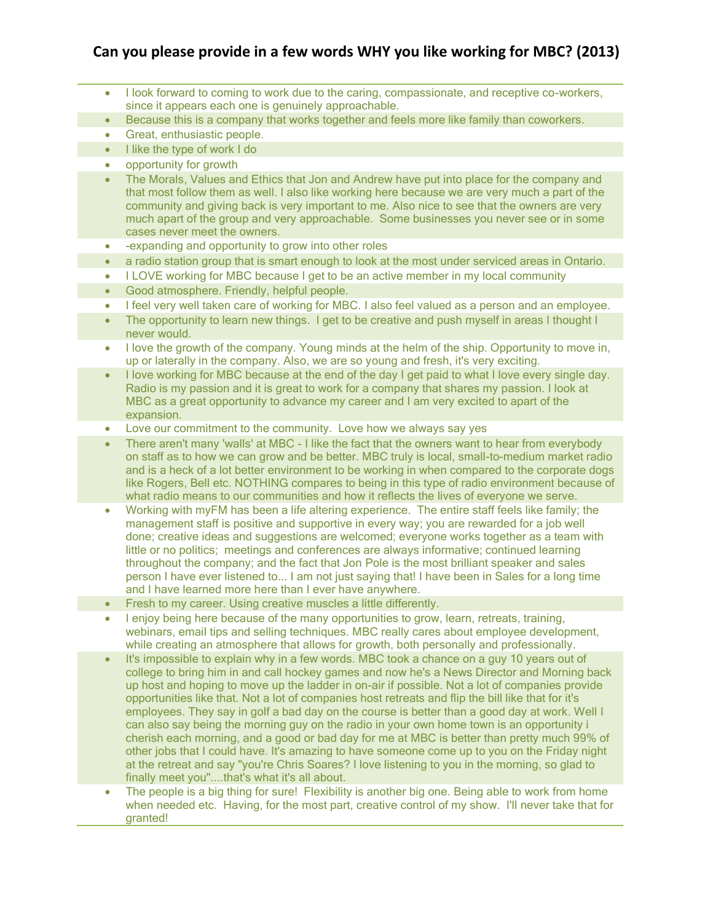## **Can you please provide in a few words WHY you like working for MBC? (2013)**

- I look forward to coming to work due to the caring, compassionate, and receptive co-workers, since it appears each one is genuinely approachable.
- Because this is a company that works together and feels more like family than coworkers.
- Great, enthusiastic people.
- $\bullet$  I like the type of work I do
- opportunity for growth
- The Morals, Values and Ethics that Jon and Andrew have put into place for the company and that most follow them as well. I also like working here because we are very much a part of the community and giving back is very important to me. Also nice to see that the owners are very much apart of the group and very approachable. Some businesses you never see or in some cases never meet the owners.
- -expanding and opportunity to grow into other roles
- a radio station group that is smart enough to look at the most under serviced areas in Ontario.
- I LOVE working for MBC because I get to be an active member in my local community
- Good atmosphere. Friendly, helpful people.
- I feel very well taken care of working for MBC. I also feel valued as a person and an employee.
- The opportunity to learn new things. I get to be creative and push myself in areas I thought I never would.
- I love the growth of the company. Young minds at the helm of the ship. Opportunity to move in, up or laterally in the company. Also, we are so young and fresh, it's very exciting.
- I love working for MBC because at the end of the day I get paid to what I love every single day. Radio is my passion and it is great to work for a company that shares my passion. I look at MBC as a great opportunity to advance my career and I am very excited to apart of the expansion.
- Love our commitment to the community. Love how we always say yes
- There aren't many 'walls' at MBC I like the fact that the owners want to hear from everybody on staff as to how we can grow and be better. MBC truly is local, small-to-medium market radio and is a heck of a lot better environment to be working in when compared to the corporate dogs like Rogers, Bell etc. NOTHING compares to being in this type of radio environment because of what radio means to our communities and how it reflects the lives of everyone we serve.
- Working with myFM has been a life altering experience. The entire staff feels like family; the management staff is positive and supportive in every way; you are rewarded for a job well done; creative ideas and suggestions are welcomed; everyone works together as a team with little or no politics; meetings and conferences are always informative; continued learning throughout the company; and the fact that Jon Pole is the most brilliant speaker and sales person I have ever listened to... I am not just saying that! I have been in Sales for a long time and I have learned more here than I ever have anywhere.
- Fresh to my career. Using creative muscles a little differently.
- I enjoy being here because of the many opportunities to grow, learn, retreats, training, webinars, email tips and selling techniques. MBC really cares about employee development, while creating an atmosphere that allows for growth, both personally and professionally.
- It's impossible to explain why in a few words. MBC took a chance on a guy 10 years out of college to bring him in and call hockey games and now he's a News Director and Morning back up host and hoping to move up the ladder in on-air if possible. Not a lot of companies provide opportunities like that. Not a lot of companies host retreats and flip the bill like that for it's employees. They say in golf a bad day on the course is better than a good day at work. Well I can also say being the morning guy on the radio in your own home town is an opportunity i cherish each morning, and a good or bad day for me at MBC is better than pretty much 99% of other jobs that I could have. It's amazing to have someone come up to you on the Friday night at the retreat and say "you're Chris Soares? I love listening to you in the morning, so glad to finally meet you"....that's what it's all about.
- The people is a big thing for sure! Flexibility is another big one. Being able to work from home when needed etc. Having, for the most part, creative control of my show. I'll never take that for granted!